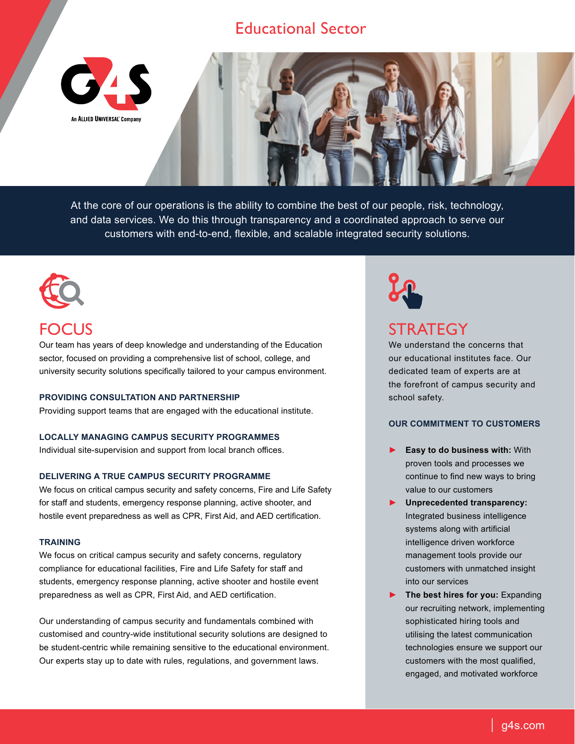## Educational Sector

An ALLIED UNIVERSAL' Company

At the core of our operations is the ability to combine the best of our people, risk, technology, and data services. We do this through transparency and a coordinated approach to serve our customers with end-to-end, flexible, and scalable integrated security solutions.



# **FOCUS**

Our team has years of deep knowledge and understanding of the Education sector, focused on providing a comprehensive list of school, college, and university security solutions specifically tailored to your campus environment.

#### **PROVIDING CONSULTATION AND PARTNERSHIP**

Providing support teams that are engaged with the educational institute.

### **LOCALLY MANAGING CAMPUS SECURITY PROGRAMMES**

Individual site-supervision and support from local branch offices.

### **DELIVERING A TRUE CAMPUS SECURITY PROGRAMME**

We focus on critical campus security and safety concerns, Fire and Life Safety for staff and students, emergency response planning, active shooter, and hostile event preparedness as well as CPR, First Aid, and AED certification.

#### **TRAINING**

We focus on critical campus security and safety concerns, regulatory compliance for educational facilities, Fire and Life Safety for staff and students, emergency response planning, active shooter and hostile event preparedness as well as CPR, First Aid, and AED certification.

Our understanding of campus security and fundamentals combined with customised and country-wide institutional security solutions are designed to be student-centric while remaining sensitive to the educational environment. Our experts stay up to date with rules, regulations, and government laws.



# **STRATEGY**

We understand the concerns that our educational institutes face. Our dedicated team of experts are at the forefront of campus security and school safety.

### **OUR COMMITMENT TO CUSTOMERS**

- ► **Easy to do business with:** With proven tools and processes we continue to find new ways to bring value to our customers
- ► **Unprecedented transparency:** Integrated business intelligence systems along with artificial intelligence driven workforce management tools provide our customers with unmatched insight into our services
- ► **The best hires for you:** Expanding our recruiting network, implementing sophisticated hiring tools and utilising the latest communication technologies ensure we support our customers with the most qualified, engaged, and motivated workforce